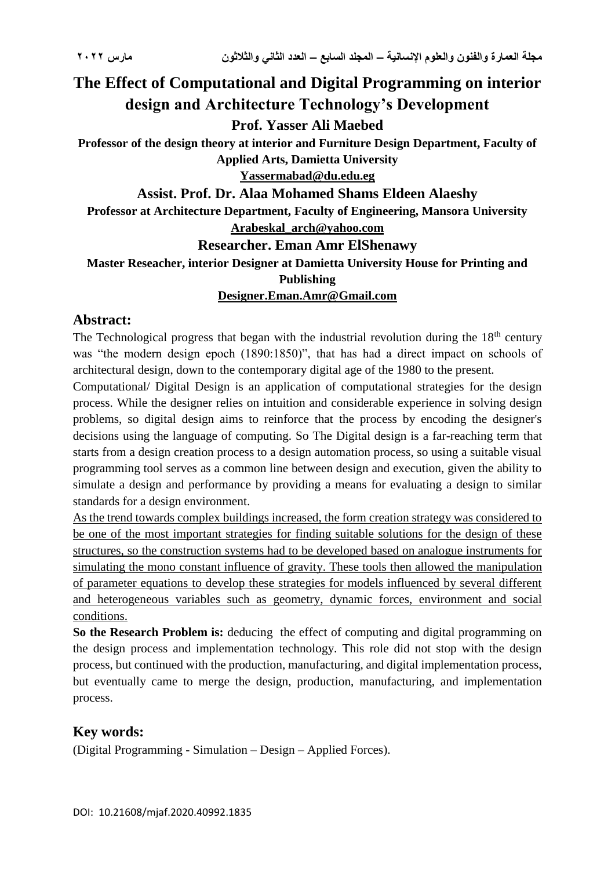# **The Effect of Computational and Digital Programming on interior design and Architecture Technology's Development**

## **Prof. Yasser Ali Maebed**

**Professor of the design theory at interior and Furniture Design Department, Faculty of Applied Arts, Damietta University**

## **Yassermabad@du.edu.eg**

#### **Assist. Prof. Dr. Alaa Mohamed Shams Eldeen Alaeshy**

**Professor at Architecture Department, Faculty of Engineering, Mansora University Arabeskal\_arch@yahoo.com**

#### **Researcher. Eman Amr ElShenawy**

# **Master Reseacher, interior Designer at Damietta University House for Printing and Publishing**

#### **[Designer.Eman.Amr@Gmail.com](mailto:Designer.Eman.Amr@Gmail.com)**

#### **Abstract:**

The Technological progress that began with the industrial revolution during the 18<sup>th</sup> century was "the modern design epoch (1890:1850)", that has had a direct impact on schools of architectural design, down to the contemporary digital age of the 1980 to the present.

Computational/ Digital Design [is an application of computational strategies for the design](http://www.u-dictionary.com/home/word/And%20a%20list%20is%20an%20application%20of%20computational%20strategies%20for%20the%20design%20process.%20While%20the%20designer%20relies%20on%20intuition%20and%20considerable%20experience%20in%20solving%20design%20problems,%20digital%20design%20aims%20to%20reinforce%20that%20process%20by%20encoding%20the%20designer)  [process. While the designer relies on intuition and considerable experience in solving design](http://www.u-dictionary.com/home/word/And%20a%20list%20is%20an%20application%20of%20computational%20strategies%20for%20the%20design%20process.%20While%20the%20designer%20relies%20on%20intuition%20and%20considerable%20experience%20in%20solving%20design%20problems,%20digital%20design%20aims%20to%20reinforce%20that%20process%20by%20encoding%20the%20designer)  problems, [so digital design aims to reinforce that the process by encoding the designer's](http://www.u-dictionary.com/home/word/And%20a%20list%20is%20an%20application%20of%20computational%20strategies%20for%20the%20design%20process.%20While%20the%20designer%20relies%20on%20intuition%20and%20considerable%20experience%20in%20solving%20design%20problems,%20digital%20design%20aims%20to%20reinforce%20that%20process%20by%20encoding%20the%20designer)  [decisions using the language of computing.](http://www.u-dictionary.com/home/word/And%20a%20list%20is%20an%20application%20of%20computational%20strategies%20for%20the%20design%20process.%20While%20the%20designer%20relies%20on%20intuition%20and%20considerable%20experience%20in%20solving%20design%20problems,%20digital%20design%20aims%20to%20reinforce%20that%20process%20by%20encoding%20the%20designer) So The Digital design is [a far-reaching term that](http://www.u-dictionary.com/home/word/Digital%20design%20is%20a%20far-reaching%20term%20that%20starts%20from%20a%20design%20creation%20process%20to%20a%20design%20automation%20process,%20so%20using%20a%20suitable%20visual%20programming%20tool%20serves%20as%20a%20common%20line%20between%20design%20and%20execution,%20given%20the%20ability%20to%20simulate%20a%20design%20and%20performance%20by%20providing%20a%20means%20for%20evaluating%20a%20design%20to%20similar%20standards%20for%20a%20design%20environment./from/en/to/hi)  [starts from a design creation process to a design automation process, so using a suitable visual](http://www.u-dictionary.com/home/word/Digital%20design%20is%20a%20far-reaching%20term%20that%20starts%20from%20a%20design%20creation%20process%20to%20a%20design%20automation%20process,%20so%20using%20a%20suitable%20visual%20programming%20tool%20serves%20as%20a%20common%20line%20between%20design%20and%20execution,%20given%20the%20ability%20to%20simulate%20a%20design%20and%20performance%20by%20providing%20a%20means%20for%20evaluating%20a%20design%20to%20similar%20standards%20for%20a%20design%20environment./from/en/to/hi)  [programming tool serves as a common line between design and execution, given the ability to](http://www.u-dictionary.com/home/word/Digital%20design%20is%20a%20far-reaching%20term%20that%20starts%20from%20a%20design%20creation%20process%20to%20a%20design%20automation%20process,%20so%20using%20a%20suitable%20visual%20programming%20tool%20serves%20as%20a%20common%20line%20between%20design%20and%20execution,%20given%20the%20ability%20to%20simulate%20a%20design%20and%20performance%20by%20providing%20a%20means%20for%20evaluating%20a%20design%20to%20similar%20standards%20for%20a%20design%20environment./from/en/to/hi)  [simulate a design and performance by providing a means for evaluating a design to similar](http://www.u-dictionary.com/home/word/Digital%20design%20is%20a%20far-reaching%20term%20that%20starts%20from%20a%20design%20creation%20process%20to%20a%20design%20automation%20process,%20so%20using%20a%20suitable%20visual%20programming%20tool%20serves%20as%20a%20common%20line%20between%20design%20and%20execution,%20given%20the%20ability%20to%20simulate%20a%20design%20and%20performance%20by%20providing%20a%20means%20for%20evaluating%20a%20design%20to%20similar%20standards%20for%20a%20design%20environment./from/en/to/hi)  [standards for a design environment.](http://www.u-dictionary.com/home/word/Digital%20design%20is%20a%20far-reaching%20term%20that%20starts%20from%20a%20design%20creation%20process%20to%20a%20design%20automation%20process,%20so%20using%20a%20suitable%20visual%20programming%20tool%20serves%20as%20a%20common%20line%20between%20design%20and%20execution,%20given%20the%20ability%20to%20simulate%20a%20design%20and%20performance%20by%20providing%20a%20means%20for%20evaluating%20a%20design%20to%20similar%20standards%20for%20a%20design%20environment./from/en/to/hi)

[As the trend towards complex buildings increased, the form creation strategy was considered to](http://www.u-dictionary.com/home/word/As%20the%20trend%20towards%20complex%20buildings%20increased,%20the%20form%20creation%20strategy%20was%20considered%20to%20be%20one%20of%20the%20most%20important%20strategies%20for%20finding%20suitable%20solutions%20for%20the%20design%20of%20these%20structures,%20so%20the%20construction%20systems%20had%20to%20be%20developed%20based%20on%20analogue%20instruments%20for%20simulating%20the%20mono%20constant%20influence%20of%20gravity.%20These%20tools%20then%20allowed%20the%20manipulation%20of%20parameter%20equations%20to%20develop%20these%20strategies%20for%20models%20influenced%20by%20several%20different%20and%20heterogeneous%20variables%20such%20as%20geometry,%20dynamic%20forces,%20environment%20and%20social%20conditions.3/from/en/to/hi)  [be one of the most important strategies for finding suitable solutions for the design of these](http://www.u-dictionary.com/home/word/As%20the%20trend%20towards%20complex%20buildings%20increased,%20the%20form%20creation%20strategy%20was%20considered%20to%20be%20one%20of%20the%20most%20important%20strategies%20for%20finding%20suitable%20solutions%20for%20the%20design%20of%20these%20structures,%20so%20the%20construction%20systems%20had%20to%20be%20developed%20based%20on%20analogue%20instruments%20for%20simulating%20the%20mono%20constant%20influence%20of%20gravity.%20These%20tools%20then%20allowed%20the%20manipulation%20of%20parameter%20equations%20to%20develop%20these%20strategies%20for%20models%20influenced%20by%20several%20different%20and%20heterogeneous%20variables%20such%20as%20geometry,%20dynamic%20forces,%20environment%20and%20social%20conditions.3/from/en/to/hi)  [structures, so the construction systems had to be developed based on analogue instruments for](http://www.u-dictionary.com/home/word/As%20the%20trend%20towards%20complex%20buildings%20increased,%20the%20form%20creation%20strategy%20was%20considered%20to%20be%20one%20of%20the%20most%20important%20strategies%20for%20finding%20suitable%20solutions%20for%20the%20design%20of%20these%20structures,%20so%20the%20construction%20systems%20had%20to%20be%20developed%20based%20on%20analogue%20instruments%20for%20simulating%20the%20mono%20constant%20influence%20of%20gravity.%20These%20tools%20then%20allowed%20the%20manipulation%20of%20parameter%20equations%20to%20develop%20these%20strategies%20for%20models%20influenced%20by%20several%20different%20and%20heterogeneous%20variables%20such%20as%20geometry,%20dynamic%20forces,%20environment%20and%20social%20conditions.3/from/en/to/hi)  [simulating the mono constant influence of gravity. These tools then allowed the manipulation](http://www.u-dictionary.com/home/word/As%20the%20trend%20towards%20complex%20buildings%20increased,%20the%20form%20creation%20strategy%20was%20considered%20to%20be%20one%20of%20the%20most%20important%20strategies%20for%20finding%20suitable%20solutions%20for%20the%20design%20of%20these%20structures,%20so%20the%20construction%20systems%20had%20to%20be%20developed%20based%20on%20analogue%20instruments%20for%20simulating%20the%20mono%20constant%20influence%20of%20gravity.%20These%20tools%20then%20allowed%20the%20manipulation%20of%20parameter%20equations%20to%20develop%20these%20strategies%20for%20models%20influenced%20by%20several%20different%20and%20heterogeneous%20variables%20such%20as%20geometry,%20dynamic%20forces,%20environment%20and%20social%20conditions.3/from/en/to/hi)  [of parameter equations to develop these strategies for models influenced by several different](http://www.u-dictionary.com/home/word/As%20the%20trend%20towards%20complex%20buildings%20increased,%20the%20form%20creation%20strategy%20was%20considered%20to%20be%20one%20of%20the%20most%20important%20strategies%20for%20finding%20suitable%20solutions%20for%20the%20design%20of%20these%20structures,%20so%20the%20construction%20systems%20had%20to%20be%20developed%20based%20on%20analogue%20instruments%20for%20simulating%20the%20mono%20constant%20influence%20of%20gravity.%20These%20tools%20then%20allowed%20the%20manipulation%20of%20parameter%20equations%20to%20develop%20these%20strategies%20for%20models%20influenced%20by%20several%20different%20and%20heterogeneous%20variables%20such%20as%20geometry,%20dynamic%20forces,%20environment%20and%20social%20conditions.3/from/en/to/hi)  [and heterogeneous variables such as geometry, dynamic forces, environment and social](http://www.u-dictionary.com/home/word/As%20the%20trend%20towards%20complex%20buildings%20increased,%20the%20form%20creation%20strategy%20was%20considered%20to%20be%20one%20of%20the%20most%20important%20strategies%20for%20finding%20suitable%20solutions%20for%20the%20design%20of%20these%20structures,%20so%20the%20construction%20systems%20had%20to%20be%20developed%20based%20on%20analogue%20instruments%20for%20simulating%20the%20mono%20constant%20influence%20of%20gravity.%20These%20tools%20then%20allowed%20the%20manipulation%20of%20parameter%20equations%20to%20develop%20these%20strategies%20for%20models%20influenced%20by%20several%20different%20and%20heterogeneous%20variables%20such%20as%20geometry,%20dynamic%20forces,%20environment%20and%20social%20conditions.3/from/en/to/hi)  [conditions.](http://www.u-dictionary.com/home/word/As%20the%20trend%20towards%20complex%20buildings%20increased,%20the%20form%20creation%20strategy%20was%20considered%20to%20be%20one%20of%20the%20most%20important%20strategies%20for%20finding%20suitable%20solutions%20for%20the%20design%20of%20these%20structures,%20so%20the%20construction%20systems%20had%20to%20be%20developed%20based%20on%20analogue%20instruments%20for%20simulating%20the%20mono%20constant%20influence%20of%20gravity.%20These%20tools%20then%20allowed%20the%20manipulation%20of%20parameter%20equations%20to%20develop%20these%20strategies%20for%20models%20influenced%20by%20several%20different%20and%20heterogeneous%20variables%20such%20as%20geometry,%20dynamic%20forces,%20environment%20and%20social%20conditions.3/from/en/to/hi)

**So the Research Problem is:** [deducing the effect of computing and digital programming on](http://www.u-dictionary.com/home/word/The%20search%20problem%20is:%20deduce%20the%20effect%20of%20computing%20and%20digital%20programming%20on%20the%20design%20process%20and%20implementation%20technology.%20This%20role%20did%20not%20stop%20with%20the%20design%20process,%20but%20continued%20with%20the%20production,%20manufacturing,%20and%20digital%20implementation%20process,%20but%20eventually%20came%20to%20merge%20the%20design,%20production,%20manufacturing,%20and%20implementation%20process./from/en/to/hi)  [the design process and implementation technology. This role did not stop with the design](http://www.u-dictionary.com/home/word/The%20search%20problem%20is:%20deduce%20the%20effect%20of%20computing%20and%20digital%20programming%20on%20the%20design%20process%20and%20implementation%20technology.%20This%20role%20did%20not%20stop%20with%20the%20design%20process,%20but%20continued%20with%20the%20production,%20manufacturing,%20and%20digital%20implementation%20process,%20but%20eventually%20came%20to%20merge%20the%20design,%20production,%20manufacturing,%20and%20implementation%20process./from/en/to/hi)  [process, but continued with the production, manufacturing, and digital implementation process,](http://www.u-dictionary.com/home/word/The%20search%20problem%20is:%20deduce%20the%20effect%20of%20computing%20and%20digital%20programming%20on%20the%20design%20process%20and%20implementation%20technology.%20This%20role%20did%20not%20stop%20with%20the%20design%20process,%20but%20continued%20with%20the%20production,%20manufacturing,%20and%20digital%20implementation%20process,%20but%20eventually%20came%20to%20merge%20the%20design,%20production,%20manufacturing,%20and%20implementation%20process./from/en/to/hi)  [but eventually came to merge the design, production, manufacturing, and implementation](http://www.u-dictionary.com/home/word/The%20search%20problem%20is:%20deduce%20the%20effect%20of%20computing%20and%20digital%20programming%20on%20the%20design%20process%20and%20implementation%20technology.%20This%20role%20did%20not%20stop%20with%20the%20design%20process,%20but%20continued%20with%20the%20production,%20manufacturing,%20and%20digital%20implementation%20process,%20but%20eventually%20came%20to%20merge%20the%20design,%20production,%20manufacturing,%20and%20implementation%20process./from/en/to/hi)  [process.](http://www.u-dictionary.com/home/word/The%20search%20problem%20is:%20deduce%20the%20effect%20of%20computing%20and%20digital%20programming%20on%20the%20design%20process%20and%20implementation%20technology.%20This%20role%20did%20not%20stop%20with%20the%20design%20process,%20but%20continued%20with%20the%20production,%20manufacturing,%20and%20digital%20implementation%20process,%20but%20eventually%20came%20to%20merge%20the%20design,%20production,%20manufacturing,%20and%20implementation%20process./from/en/to/hi)

#### **Key words:**

(Digital Programming - Simulation – Design – Applied Forces).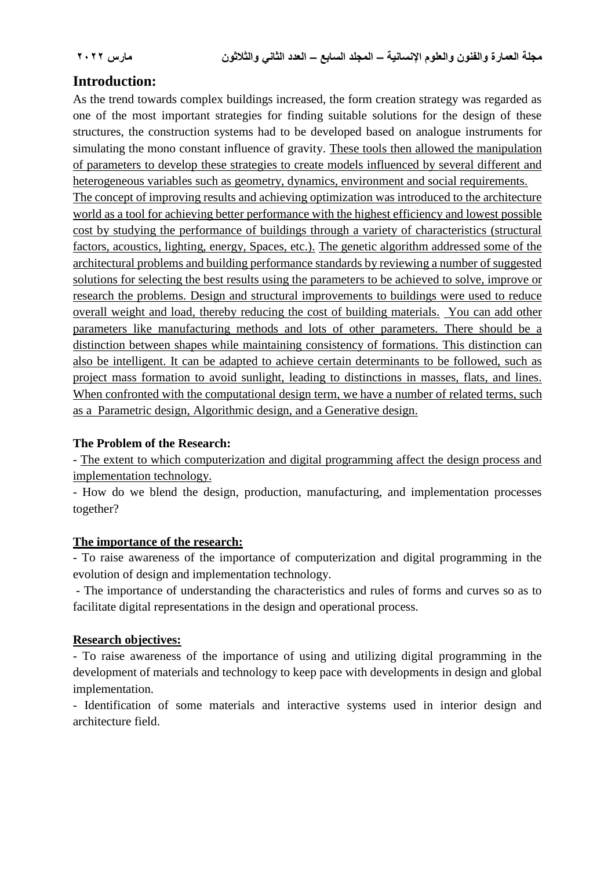## **[Introduction:](http://www.u-dictionary.com/home/word/Introduction:%20as%20the%20trend%20towards%20complex%20buildings%20increased,%20the%20form%20creation%20strategy%20was%20regarded%20as%20one%20of%20the%20most%20important%20strategies%20for%20finding%20suitable%20solutions%20for%20the%20design%20of%20these%20structures,%20the%20construction%20systems%20had%20to%20be%20developed%20based%20on%20analogue%20instruments%20for%20simulating%20the%20mono%20constant%20influence%20of%20gravity./from/en/to/hi)**

As the trend towards complex buildings increased, the form creation strategy was regarded as one of the most important strategies for finding suitable solutions for the design of these structures, the construction systems had to be developed based on analogue instruments for simulating the mono constant influence of gravity. [These tools then allowed the manipulation](http://www.u-dictionary.com/home/word/Oh,%20my%20god.%20These%20tools%20then%20allowed%20the%20manipulation%20of%20parameters%20to%20develop%20these%20strategies%20to%20create%20models%20influenced%20by%20several%20different%20and%20heterogeneous%20variables%20such%20as%20geometry,%20dynamics,%20environment%20and%20social%20requirements./from/en/to/hi)  [of parameters to develop these strategies to create models influenced by several different and](http://www.u-dictionary.com/home/word/Oh,%20my%20god.%20These%20tools%20then%20allowed%20the%20manipulation%20of%20parameters%20to%20develop%20these%20strategies%20to%20create%20models%20influenced%20by%20several%20different%20and%20heterogeneous%20variables%20such%20as%20geometry,%20dynamics,%20environment%20and%20social%20requirements./from/en/to/hi)  [heterogeneous variables such as geometry, dynamics, environment and social requirements.](http://www.u-dictionary.com/home/word/Oh,%20my%20god.%20These%20tools%20then%20allowed%20the%20manipulation%20of%20parameters%20to%20develop%20these%20strategies%20to%20create%20models%20influenced%20by%20several%20different%20and%20heterogeneous%20variables%20such%20as%20geometry,%20dynamics,%20environment%20and%20social%20requirements./from/en/to/hi)

[The concept of improving results and achieving optimization was introduced to the architecture](http://www.u-dictionary.com/home/word/The%20concept%20of%20improving%20results%20and%20achieving%20optimization%20was%20introduced%20to%20the%20architecture%20world%20as%20a%20tool%20for%20achieving%20better%20performance%20with%20the%20highest%20efficiency%20and%20lowest%20possible%20cost%20by%20studying%20the%20performance%20of%20buildings%20through%20a%20variety%20of%20characteristics%20(structural%20factors,%20acoustics,%20lighting,%20energy,%20Spaces,%20etc.)./from/en/to/hi)  world as a [tool for achieving better performance with the highest efficiency and lowest possible](http://www.u-dictionary.com/home/word/The%20concept%20of%20improving%20results%20and%20achieving%20optimization%20was%20introduced%20to%20the%20architecture%20world%20as%20a%20tool%20for%20achieving%20better%20performance%20with%20the%20highest%20efficiency%20and%20lowest%20possible%20cost%20by%20studying%20the%20performance%20of%20buildings%20through%20a%20variety%20of%20characteristics%20(structural%20factors,%20acoustics,%20lighting,%20energy,%20Spaces,%20etc.)./from/en/to/hi)  [cost by studying the performance of buildings through a variety of characteristics \(structural](http://www.u-dictionary.com/home/word/The%20concept%20of%20improving%20results%20and%20achieving%20optimization%20was%20introduced%20to%20the%20architecture%20world%20as%20a%20tool%20for%20achieving%20better%20performance%20with%20the%20highest%20efficiency%20and%20lowest%20possible%20cost%20by%20studying%20the%20performance%20of%20buildings%20through%20a%20variety%20of%20characteristics%20(structural%20factors,%20acoustics,%20lighting,%20energy,%20Spaces,%20etc.)./from/en/to/hi)  [factors, acoustics, lighting, energy, Spaces, etc.\).](http://www.u-dictionary.com/home/word/The%20concept%20of%20improving%20results%20and%20achieving%20optimization%20was%20introduced%20to%20the%20architecture%20world%20as%20a%20tool%20for%20achieving%20better%20performance%20with%20the%20highest%20efficiency%20and%20lowest%20possible%20cost%20by%20studying%20the%20performance%20of%20buildings%20through%20a%20variety%20of%20characteristics%20(structural%20factors,%20acoustics,%20lighting,%20energy,%20Spaces,%20etc.)./from/en/to/hi) [The genetic algorithm addressed some of the](http://www.u-dictionary.com/home/word/The%20genetic%20algorithm%20addressed%20some%20of%20the%20architectural%20problems%20and%20building%20performance%20standards%20by%20reviewing%20a%20number%20of%20suggested%20solutions%20for%20selecting%20the%20best%20results%20using%20the%20parameters%20to%20be%20achieved%20to%20solve,%20improve%20or%20research%20the%20problems.%20Design%20and%20structural%20improvements%20to%20buildings%20were%20used%20to%20reduce%20overall%20weight%20and%20load,%20thereby%20reducing%20the%20cost%20of%20building%20materials./from/en/to/hi)  [architectural problems and building performance standards by reviewing a number of suggested](http://www.u-dictionary.com/home/word/The%20genetic%20algorithm%20addressed%20some%20of%20the%20architectural%20problems%20and%20building%20performance%20standards%20by%20reviewing%20a%20number%20of%20suggested%20solutions%20for%20selecting%20the%20best%20results%20using%20the%20parameters%20to%20be%20achieved%20to%20solve,%20improve%20or%20research%20the%20problems.%20Design%20and%20structural%20improvements%20to%20buildings%20were%20used%20to%20reduce%20overall%20weight%20and%20load,%20thereby%20reducing%20the%20cost%20of%20building%20materials./from/en/to/hi)  [solutions for selecting the best results using the parameters to be achieved to solve, improve or](http://www.u-dictionary.com/home/word/The%20genetic%20algorithm%20addressed%20some%20of%20the%20architectural%20problems%20and%20building%20performance%20standards%20by%20reviewing%20a%20number%20of%20suggested%20solutions%20for%20selecting%20the%20best%20results%20using%20the%20parameters%20to%20be%20achieved%20to%20solve,%20improve%20or%20research%20the%20problems.%20Design%20and%20structural%20improvements%20to%20buildings%20were%20used%20to%20reduce%20overall%20weight%20and%20load,%20thereby%20reducing%20the%20cost%20of%20building%20materials./from/en/to/hi)  [research the problems. Design and structural improvements to buildings were used to reduce](http://www.u-dictionary.com/home/word/The%20genetic%20algorithm%20addressed%20some%20of%20the%20architectural%20problems%20and%20building%20performance%20standards%20by%20reviewing%20a%20number%20of%20suggested%20solutions%20for%20selecting%20the%20best%20results%20using%20the%20parameters%20to%20be%20achieved%20to%20solve,%20improve%20or%20research%20the%20problems.%20Design%20and%20structural%20improvements%20to%20buildings%20were%20used%20to%20reduce%20overall%20weight%20and%20load,%20thereby%20reducing%20the%20cost%20of%20building%20materials./from/en/to/hi)  [overall weight and load, thereby reducing the cost of building materials.](http://www.u-dictionary.com/home/word/The%20genetic%20algorithm%20addressed%20some%20of%20the%20architectural%20problems%20and%20building%20performance%20standards%20by%20reviewing%20a%20number%20of%20suggested%20solutions%20for%20selecting%20the%20best%20results%20using%20the%20parameters%20to%20be%20achieved%20to%20solve,%20improve%20or%20research%20the%20problems.%20Design%20and%20structural%20improvements%20to%20buildings%20were%20used%20to%20reduce%20overall%20weight%20and%20load,%20thereby%20reducing%20the%20cost%20of%20building%20materials./from/en/to/hi) [You can add other](http://www.u-dictionary.com/home/word/Oh,%20my%20god.%20And%20you%20can%20add%20other%20parameters%20like%20manufacturing%20methods%20and%20lots%20of%20other%20parameters.%20There%20should%20be%20a%20distinction%20between%20shapes%20while%20maintaining%20consistency%20of%20formations.%20This%20distinction%20can%20also%20be%20intelligent,%20i.e.,%20it%20can%20be%20adapted%20to%20achieve%20certain%20determinants%20to%20be%20followed,%20such%20as%20project%20mass%20formation%20to%20avoid%20sunlight,%20leading%20to%20distinctions%20in%20masses,%20flats,%20and%20lines./from/en/to/hi)  [parameters like manufacturing methods and lots of other parameters. There should be a](http://www.u-dictionary.com/home/word/Oh,%20my%20god.%20And%20you%20can%20add%20other%20parameters%20like%20manufacturing%20methods%20and%20lots%20of%20other%20parameters.%20There%20should%20be%20a%20distinction%20between%20shapes%20while%20maintaining%20consistency%20of%20formations.%20This%20distinction%20can%20also%20be%20intelligent,%20i.e.,%20it%20can%20be%20adapted%20to%20achieve%20certain%20determinants%20to%20be%20followed,%20such%20as%20project%20mass%20formation%20to%20avoid%20sunlight,%20leading%20to%20distinctions%20in%20masses,%20flats,%20and%20lines./from/en/to/hi)  [distinction between shapes while maintaining consistency of formations. This distinction can](http://www.u-dictionary.com/home/word/Oh,%20my%20god.%20And%20you%20can%20add%20other%20parameters%20like%20manufacturing%20methods%20and%20lots%20of%20other%20parameters.%20There%20should%20be%20a%20distinction%20between%20shapes%20while%20maintaining%20consistency%20of%20formations.%20This%20distinction%20can%20also%20be%20intelligent,%20i.e.,%20it%20can%20be%20adapted%20to%20achieve%20certain%20determinants%20to%20be%20followed,%20such%20as%20project%20mass%20formation%20to%20avoid%20sunlight,%20leading%20to%20distinctions%20in%20masses,%20flats,%20and%20lines./from/en/to/hi)  [also be intelligent. It can be adapted to achieve certain determinants to be followed, such as](http://www.u-dictionary.com/home/word/Oh,%20my%20god.%20And%20you%20can%20add%20other%20parameters%20like%20manufacturing%20methods%20and%20lots%20of%20other%20parameters.%20There%20should%20be%20a%20distinction%20between%20shapes%20while%20maintaining%20consistency%20of%20formations.%20This%20distinction%20can%20also%20be%20intelligent,%20i.e.,%20it%20can%20be%20adapted%20to%20achieve%20certain%20determinants%20to%20be%20followed,%20such%20as%20project%20mass%20formation%20to%20avoid%20sunlight,%20leading%20to%20distinctions%20in%20masses,%20flats,%20and%20lines./from/en/to/hi)  [project mass formation to avoid sunlight, leading to distinctions in masses, flats, and lines.](http://www.u-dictionary.com/home/word/Oh,%20my%20god.%20And%20you%20can%20add%20other%20parameters%20like%20manufacturing%20methods%20and%20lots%20of%20other%20parameters.%20There%20should%20be%20a%20distinction%20between%20shapes%20while%20maintaining%20consistency%20of%20formations.%20This%20distinction%20can%20also%20be%20intelligent,%20i.e.,%20it%20can%20be%20adapted%20to%20achieve%20certain%20determinants%20to%20be%20followed,%20such%20as%20project%20mass%20formation%20to%20avoid%20sunlight,%20leading%20to%20distinctions%20in%20masses,%20flats,%20and%20lines./from/en/to/hi) When confronted with the computational design term, we have a number of related terms, such [as a Parametric design, Algorithmic design, and a Generative design.](http://www.u-dictionary.com/home/word/When%20confronted%20with%20the%20computational%20design%20term,%20we%20have%20a%20number%20of%20related%20terms,%20such%20as%20a%20%22design%20of%20logarithmic%20designs,%22%20an%20algorithmic%20design,%20and%20a%20step-generative%20design./from/en/to/hi)

#### **The Problem of the Research:**

- [The extent to which computerization and digital programming affect the design process and](http://www.u-dictionary.com/home/word/Search%20problem:%20the%20extent%20to%20which%20computerization%20and%20digital%20programming%20affect%20the%20design%20process%20and%20implementation%20technology.%20How%20do%20we%20blend%20the%20design,%20production,%20manufacturing,%20and%20implementation%20processes%20together?%2Ffrom%2Fen%2Fto%2Fhi)  [implementation technology.](http://www.u-dictionary.com/home/word/Search%20problem:%20the%20extent%20to%20which%20computerization%20and%20digital%20programming%20affect%20the%20design%20process%20and%20implementation%20technology.%20How%20do%20we%20blend%20the%20design,%20production,%20manufacturing,%20and%20implementation%20processes%20together?%2Ffrom%2Fen%2Fto%2Fhi) 

- How do we blend the design, production, manufacturing, and implementation processes together?

#### **[The importance of the research:](http://www.u-dictionary.com/home/word/The%20importance%20of%20research:%20to%20raise%20awareness%20of%20the%20importance%20of%20computerization%20and%20digital%20programming%20in%20the%20evolution%20of%20design%20and%20implementation%20technology.%20%C2%B7%20the%20importance%20of%20understanding%20the%20characteristics%20and%20rules%20of%20forms%20and%20curves%20so%20as%20to%20facilitate%20digital%20representations%20in%20the%20design%20and%20operational%20process./from/en/to/hi)**

- To raise awareness of the importance of computerization and digital programming in the evolution of design and implementation technology.

- The importance of understanding the characteristics and rules of forms and curves so as to facilitate digital representations in the design and operational process.

#### **[Research objectives:](http://www.u-dictionary.com/home/word/Research%20objectives:%20to%20raise%20awareness%20of%20the%20importance%20of%20using%20and%20utilizing%20digital%20software%20in%20the%20development%20of%20materials%20and%20technology%20to%20keep%20pace%20with%20developments%20in%20design%20and%20global%20implementation.%20%C2%B7%20identification%20of%20some%20materials%20and%20interactive%20systems%20used%20in%20interior%20design%20and%20architecture./from/en/to/hi)**

- To raise awareness of the importance of using and utilizing digital programming in the development of materials and technology to keep pace with developments in design and global implementation.

- Identification of some materials and interactive systems used in interior design and architecture field.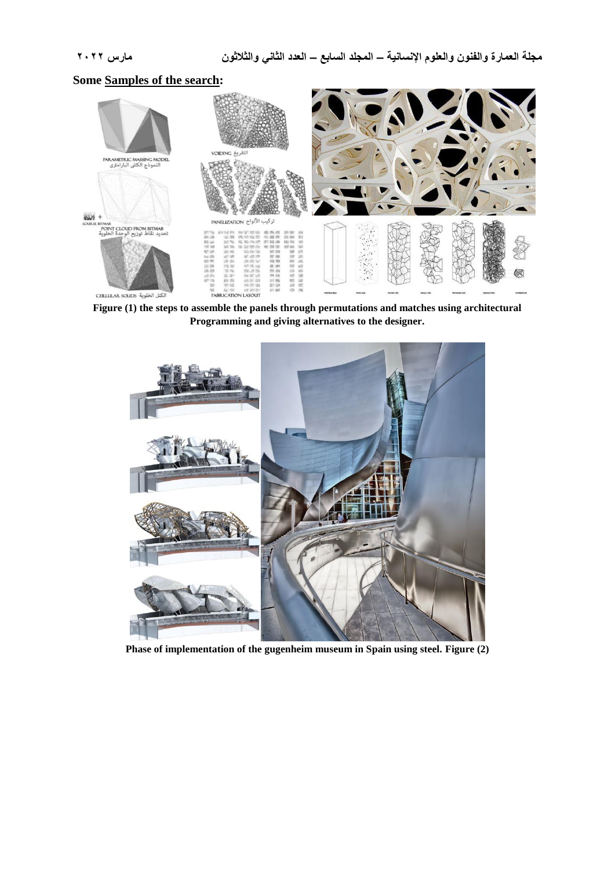## **Some [Samples of the search:](http://www.u-dictionary.com/home/word/Samples%20of%20the%20search/from/en/to/hi)**



**[Figure \(1\) the steps to assemble the panels through permutations and matches using architectural](http://www.u-dictionary.com/home/word/Figure%20(2)%20the%20steps%20to%20assemble%20the%20panels%20through%20permutations%20and%20matches%20using%20architectural%20software%20and%20giving%20alternatives%20to%20the%20designer./from/en/to/hi)  [Programming and giving alternatives to the designer.](http://www.u-dictionary.com/home/word/Figure%20(2)%20the%20steps%20to%20assemble%20the%20panels%20through%20permutations%20and%20matches%20using%20architectural%20software%20and%20giving%20alternatives%20to%20the%20designer./from/en/to/hi)**



**[Phase of implementation of the gugenheim museum in Spain using steel.](http://www.u-dictionary.com/home/word/Phase%20of%20implementation%20of%20the%20gugenheim%20museum%20in%20Spain%20using%20steel./from/en/to/hi) Figure (2)**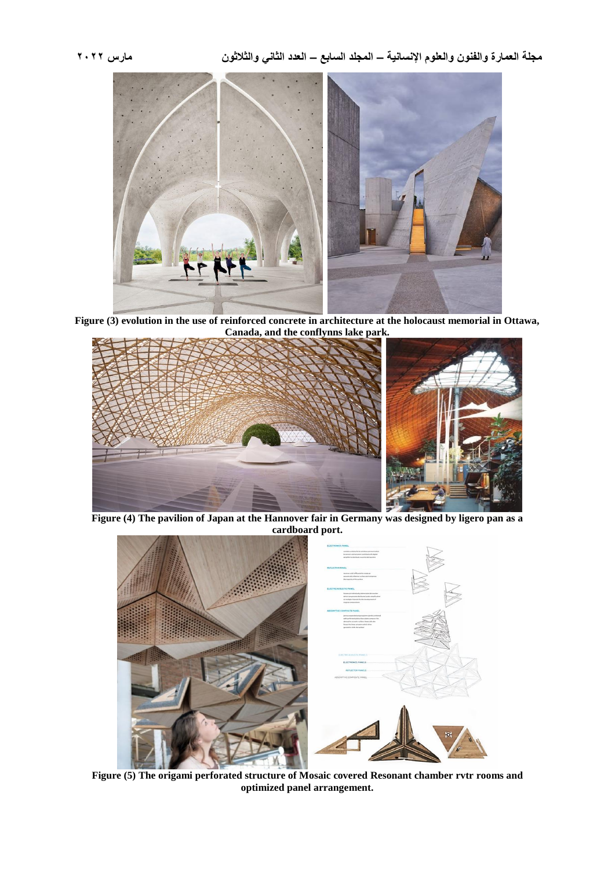

**Figure (3) [evolution in the use of reinforced concrete in architecture at the holocaust memorial in Ottawa,](http://www.u-dictionary.com/home/word/5%20evolution%20in%20the%20use%20of%20reinforced%20concrete%20in%20architecture%20at%20the%20holocaust%20memorial%20in%20Ottawa,%20Canada,%20and%20the%20conflynns%20lake%20park./from/en/to/hi)  [Canada, and the conflynns lake park.](http://www.u-dictionary.com/home/word/5%20evolution%20in%20the%20use%20of%20reinforced%20concrete%20in%20architecture%20at%20the%20holocaust%20memorial%20in%20Ottawa,%20Canada,%20and%20the%20conflynns%20lake%20park./from/en/to/hi)**



**Figure (4) The pavilion of Japan at the Hannover [fair in Germany was designed by ligero pan as a](http://www.u-dictionary.com/home/word/The%20pavilion%20of%20Japan%20at%20the%20hannover%20fair%20in%20Germany%20was%20designed%20by%20ligero%20pan%20as%20a%20cardboard%20port./from/en/to/hi)  [cardboard port.](http://www.u-dictionary.com/home/word/The%20pavilion%20of%20Japan%20at%20the%20hannover%20fair%20in%20Germany%20was%20designed%20by%20ligero%20pan%20as%20a%20cardboard%20port./from/en/to/hi)**



**Figure (5) [The origami perforated structure of Mosaic covered Resonant chamber rvtr](http://www.u-dictionary.com/home/word/The%20origami%20perforated%20structure%20of%20Mosaic%20covered%20mri%20rooms%20and%20optimized%20panel%20arrangement./from/en/to/hi) rooms and [optimized panel arrangement.](http://www.u-dictionary.com/home/word/The%20origami%20perforated%20structure%20of%20Mosaic%20covered%20mri%20rooms%20and%20optimized%20panel%20arrangement./from/en/to/hi)**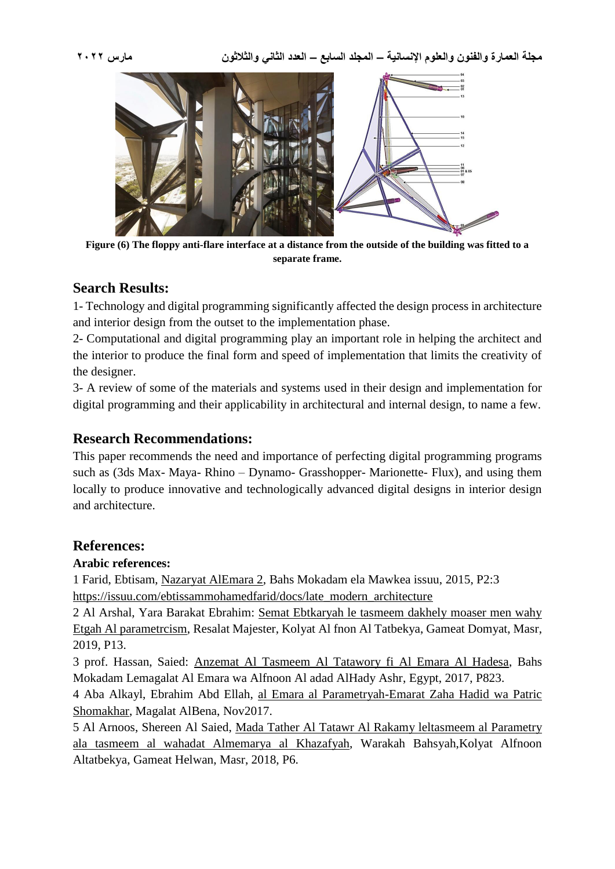

**[Figure \(6\) The floppy anti-flare interface at a distance from the outside of the building was fitted to a](http://www.u-dictionary.com/home/word/The%20floppy%20anti-flare%20interface%20at%20a%20distance%20from%20the%20outside%20of%20the%20building%20was%20fitted%20to%20a%20separate%20frame./from/en/to/hi)  [separate frame.](http://www.u-dictionary.com/home/word/The%20floppy%20anti-flare%20interface%20at%20a%20distance%20from%20the%20outside%20of%20the%20building%20was%20fitted%20to%20a%20separate%20frame./from/en/to/hi)**

## **Search Results:**

1- Technology and digital programming significantly affected the design process in architecture and interior design from the outset to the implementation phase.

2- Computational and digital programming play an important role in helping the architect and the interior to produce the final form and speed of implementation that limits the creativity of the designer.

3- A review of some of the materials and systems used in their design and implementation for digital programming and their applicability in architectural and internal design, to name a few.

## **Research Recommendations:**

This paper recommends the need and importance of perfecting digital programming programs such as (3ds Max- Maya- Rhino – Dynamo- Grasshopper- Marionette- Flux), and using them locally to produce innovative and technologically advanced digital designs in interior design and architecture.

## **References:**

## **Arabic references:**

1 Farid, Ebtisam, Nazaryat AlEmara 2, Bahs Mokadam ela Mawkea issuu, 2015, P2:3 [https://issuu.com/ebtissammohamedfarid/docs/late\\_modern\\_architecture](https://issuu.com/ebtissammohamedfarid/docs/late_modern_architecture)

2 Al Arshal, Yara Barakat Ebrahim: Semat Ebtkaryah le tasmeem dakhely moaser men wahy Etgah Al parametrcism, Resalat Majester, Kolyat Al fnon Al Tatbekya, Gameat Domyat, Masr, 2019, P13.

3 prof. Hassan, Saied: Anzemat Al Tasmeem Al Tatawory fi Al Emara Al Hadesa, Bahs Mokadam Lemagalat Al Emara wa Alfnoon Al adad AlHady Ashr, Egypt, 2017, P823.

4 Aba Alkayl, Ebrahim Abd Ellah, al Emara al Parametryah-Emarat Zaha Hadid wa Patric Shomakhar, Magalat AlBena, Nov2017.

5 Al Arnoos, Shereen Al Saied, Mada Tather Al Tatawr Al Rakamy leltasmeem al Parametry ala tasmeem al wahadat Almemarya al Khazafyah, Warakah Bahsyah,Kolyat Alfnoon Altatbekya, Gameat Helwan, Masr, 2018, P6.